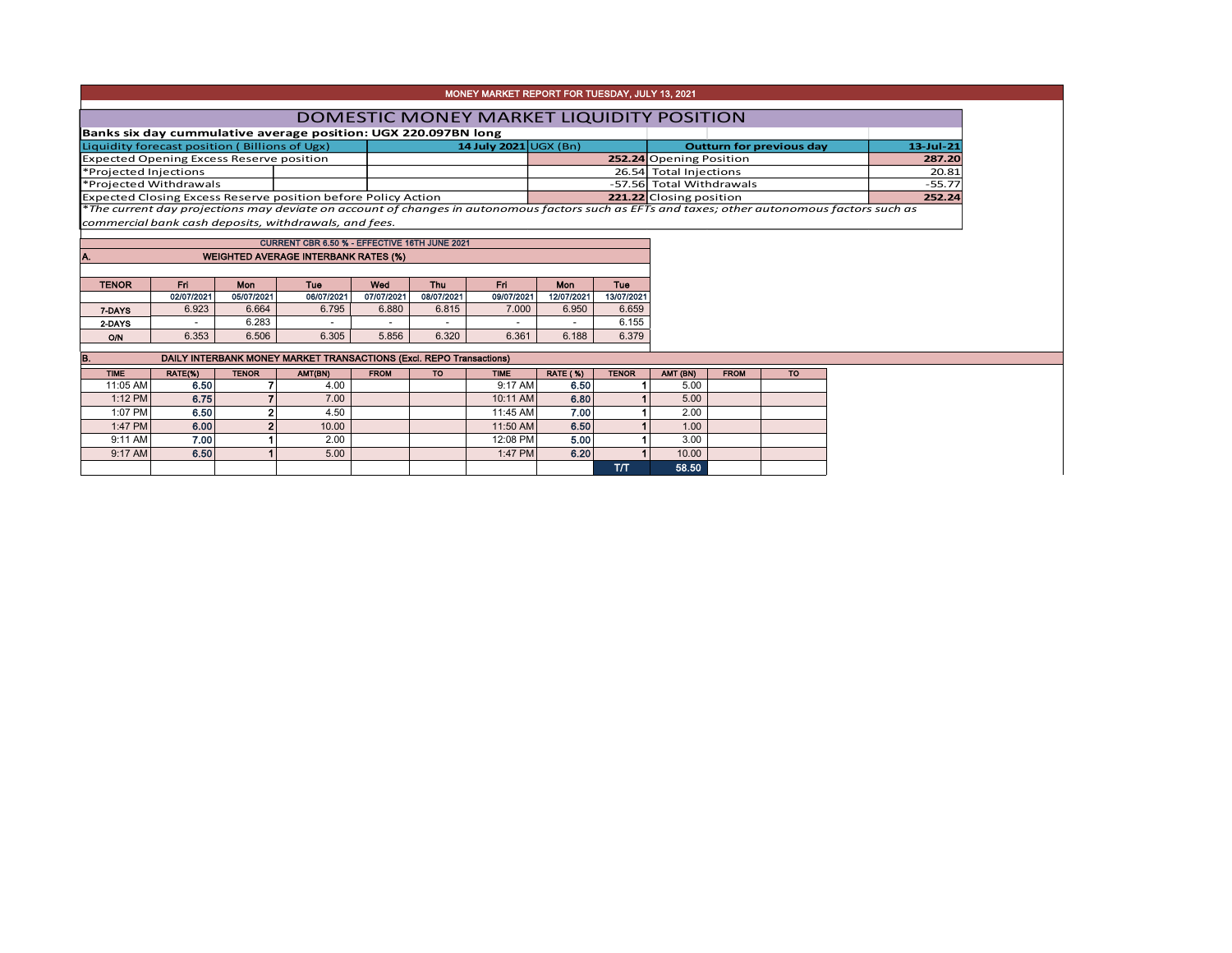|                                                 |                 |              |                                                                                                                                               |             |            | MONEY MARKET REPORT FOR TUESDAY, JULY 13, 2021 |                         |              |                          |             |                                 |              |
|-------------------------------------------------|-----------------|--------------|-----------------------------------------------------------------------------------------------------------------------------------------------|-------------|------------|------------------------------------------------|-------------------------|--------------|--------------------------|-------------|---------------------------------|--------------|
|                                                 |                 |              |                                                                                                                                               |             |            | DOMESTIC MONEY MARKET LIQUIDITY POSITION       |                         |              |                          |             |                                 |              |
|                                                 |                 |              | Banks six day cummulative average position: UGX 220.097BN long                                                                                |             |            |                                                |                         |              |                          |             |                                 |              |
| Liquidity forecast position (Billions of Ugx)   |                 |              |                                                                                                                                               |             |            | 14 July 2021 UGX (Bn)                          |                         |              |                          |             | <b>Outturn for previous day</b> | $13$ -Jul-21 |
| <b>Expected Opening Excess Reserve position</b> |                 |              |                                                                                                                                               |             |            |                                                |                         |              | 252.24 Opening Position  |             | 287.20                          |              |
| *Projected Injections                           |                 |              |                                                                                                                                               |             |            |                                                |                         |              | 26.54 Total Injections   |             | 20.81                           |              |
| *Projected Withdrawals                          |                 |              |                                                                                                                                               |             |            |                                                |                         |              | -57.56 Total Withdrawals |             |                                 | $-55.77$     |
|                                                 |                 |              | <b>Expected Closing Excess Reserve position before Policy Action</b>                                                                          |             |            |                                                |                         |              | 221.22 Closing position  |             |                                 | 252.24       |
|                                                 |                 |              | *The current day projections may deviate on account of changes in autonomous factors such as EFTs and taxes; other autonomous factors such as |             |            |                                                |                         |              |                          |             |                                 |              |
|                                                 |                 |              | commercial bank cash deposits, withdrawals, and fees.                                                                                         |             |            |                                                |                         |              |                          |             |                                 |              |
|                                                 |                 |              | CURRENT CBR 6.50 % - EFFECTIVE 16TH JUNE 2021                                                                                                 |             |            |                                                |                         |              |                          |             |                                 |              |
| A.                                              |                 |              | <b>WEIGHTED AVERAGE INTERBANK RATES (%)</b>                                                                                                   |             |            |                                                |                         |              |                          |             |                                 |              |
|                                                 |                 |              |                                                                                                                                               |             |            |                                                |                         |              |                          |             |                                 |              |
| <b>TENOR</b>                                    | Fri             | Mon          | Tue                                                                                                                                           | Wed         | Thu        | Fri.                                           | <b>Mon</b>              | Tue          |                          |             |                                 |              |
|                                                 | 02/07/2021      | 05/07/2021   | 06/07/2021                                                                                                                                    | 07/07/2021  | 08/07/2021 | 09/07/2021                                     | 12/07/2021              | 13/07/2021   |                          |             |                                 |              |
| 7-DAYS                                          | 6.923           | 6.664        | 6.795                                                                                                                                         | 6.880       | 6.815      | 7.000                                          | 6.950                   | 6.659        |                          |             |                                 |              |
| 2-DAYS                                          |                 | 6.283        |                                                                                                                                               |             |            |                                                |                         |              |                          |             |                                 |              |
| O/N                                             | 6.353           |              |                                                                                                                                               |             |            |                                                |                         | 6.155        |                          |             |                                 |              |
|                                                 |                 | 6.506        | 6.305                                                                                                                                         | 5.856       | 6.320      | 6.361                                          | 6.188                   | 6.379        |                          |             |                                 |              |
|                                                 |                 |              |                                                                                                                                               |             |            |                                                |                         |              |                          |             |                                 |              |
| <b>TIME</b>                                     |                 | <b>TENOR</b> | DAILY INTERBANK MONEY MARKET TRANSACTIONS (Excl. REPO Transactions)                                                                           | <b>FROM</b> | TO.        | <b>TIME</b>                                    |                         | <b>TENOR</b> |                          | <b>FROM</b> | <b>TO</b>                       |              |
| 11:05 AM                                        | RATE(%)<br>6.50 | 7            | AMT(BN)<br>4.00                                                                                                                               |             |            | 9:17 AM                                        | <b>RATE (%)</b><br>6.50 |              | AMT (BN)<br>5.00         |             |                                 |              |
| 1:12 PM                                         | 6.75            |              | 7.00                                                                                                                                          |             |            | 10:11 AM                                       | 6.80                    |              | 5.00                     |             |                                 |              |
| 1:07 PM                                         | 6.50            |              | 4.50                                                                                                                                          |             |            | 11:45 AM                                       | 7.00                    |              | 2.00                     |             |                                 |              |
| 1:47 PM                                         | 6.00            |              | 10.00                                                                                                                                         |             |            | 11:50 AM                                       | 6.50                    |              | 1.00                     |             |                                 |              |
| 9:11 AM                                         | 7.00            |              | 2.00                                                                                                                                          |             |            | 12:08 PM                                       | 5.00                    |              | 3.00                     |             |                                 |              |
| IB.<br>9:17 AM                                  | 6.50            |              | 5.00                                                                                                                                          |             |            | 1:47 PM                                        | 6.20                    |              | 10.00                    |             |                                 |              |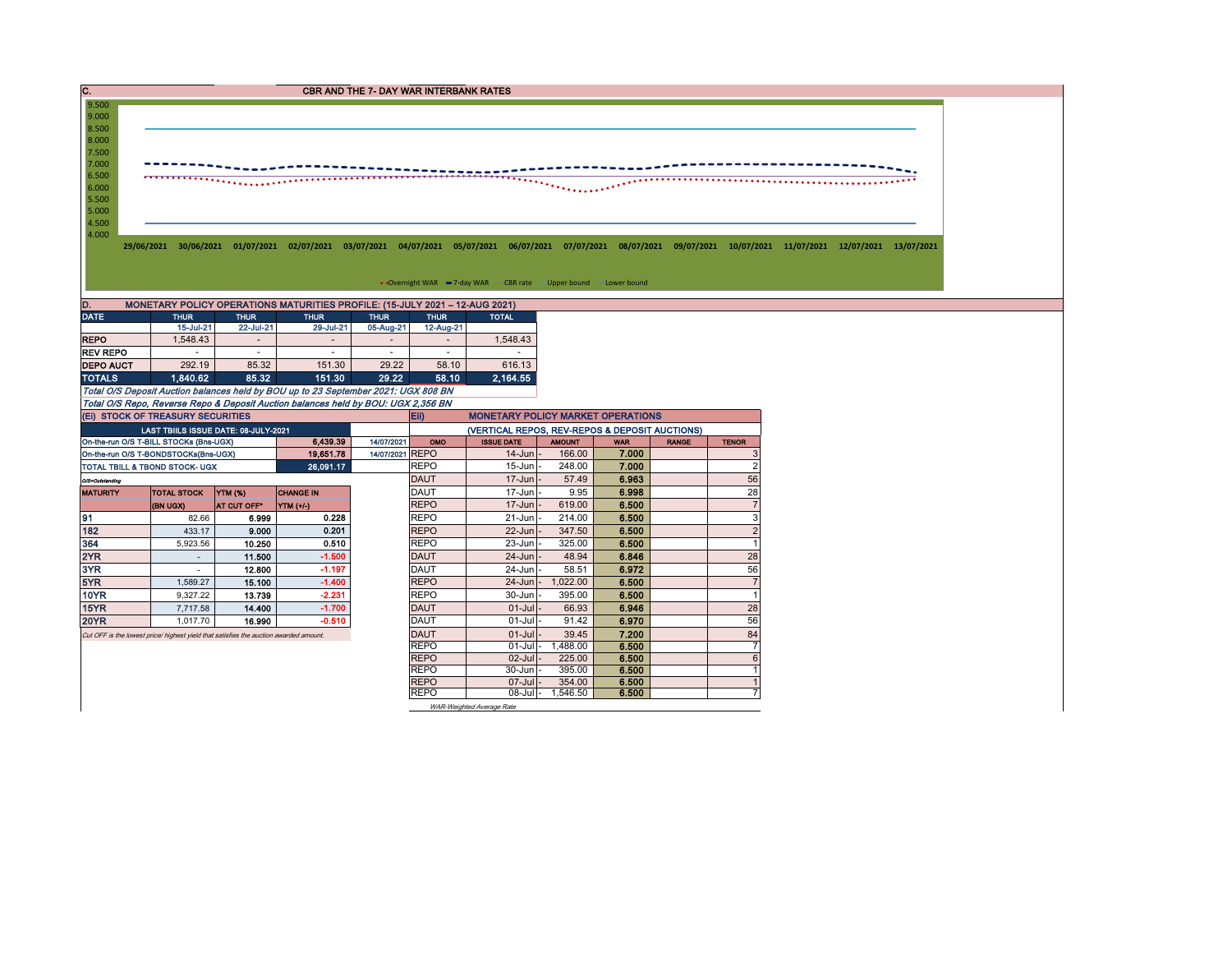| C.                                  |                                                                                       |                                    |                                                                                    | <b>CBR AND THE 7- DAY WAR INTERBANK RATES</b> |                            |                                                                   |                         |                     |              |                              |                                                                                                                                                                      |
|-------------------------------------|---------------------------------------------------------------------------------------|------------------------------------|------------------------------------------------------------------------------------|-----------------------------------------------|----------------------------|-------------------------------------------------------------------|-------------------------|---------------------|--------------|------------------------------|----------------------------------------------------------------------------------------------------------------------------------------------------------------------|
| 9.500<br>9.000                      |                                                                                       |                                    |                                                                                    |                                               |                            |                                                                   |                         |                     |              |                              |                                                                                                                                                                      |
| 8.500                               |                                                                                       |                                    |                                                                                    |                                               |                            |                                                                   |                         |                     |              |                              |                                                                                                                                                                      |
| 8.000<br>7.500                      |                                                                                       |                                    |                                                                                    |                                               |                            |                                                                   |                         |                     |              |                              |                                                                                                                                                                      |
| 7.000                               |                                                                                       |                                    |                                                                                    |                                               |                            |                                                                   |                         |                     |              |                              |                                                                                                                                                                      |
| 6.500                               |                                                                                       | ,,,,,,,,,,,,,,,,,,,,,,,,,,,,       |                                                                                    |                                               |                            |                                                                   |                         |                     |              |                              |                                                                                                                                                                      |
| 6.000                               |                                                                                       |                                    |                                                                                    |                                               |                            |                                                                   |                         |                     |              |                              |                                                                                                                                                                      |
| 5.500<br>5.000                      |                                                                                       |                                    |                                                                                    |                                               |                            |                                                                   |                         |                     |              |                              |                                                                                                                                                                      |
| 4.500                               |                                                                                       |                                    |                                                                                    |                                               |                            |                                                                   |                         |                     |              |                              |                                                                                                                                                                      |
| 4.000                               |                                                                                       |                                    |                                                                                    |                                               |                            |                                                                   |                         |                     |              |                              |                                                                                                                                                                      |
|                                     |                                                                                       |                                    |                                                                                    |                                               |                            |                                                                   |                         |                     |              |                              | 29/06/2021 30/06/2021 01/07/2021 02/07/2021 03/07/2021 04/07/2021 05/07/2021 06/07/2021 07/07/2021 08/07/2021 09/07/2021 10/07/2021 11/07/2021 12/07/2021 13/07/2021 |
|                                     |                                                                                       |                                    |                                                                                    |                                               |                            |                                                                   |                         |                     |              |                              |                                                                                                                                                                      |
|                                     |                                                                                       |                                    |                                                                                    |                                               |                            | • Overnight WAR -7-day WAR - CBR rate - Upper bound - Lower bound |                         |                     |              |                              |                                                                                                                                                                      |
|                                     |                                                                                       |                                    | MONETARY POLICY OPERATIONS MATURITIES PROFILE: (15-JULY 2021 - 12-AUG 2021)        |                                               |                            |                                                                   |                         |                     |              |                              |                                                                                                                                                                      |
| <b>DATE</b>                         | <b>THUR</b>                                                                           | <b>THUR</b>                        | <b>THUR</b>                                                                        | <b>THUR</b>                                   | <b>THUR</b>                | <b>TOTAL</b>                                                      |                         |                     |              |                              |                                                                                                                                                                      |
|                                     | 15-Jul-21                                                                             | 22-Jul-21                          | 29-Jul-21                                                                          | 05-Aug-21                                     | 12-Aug-21                  |                                                                   |                         |                     |              |                              |                                                                                                                                                                      |
| <b>REPO</b>                         | 1,548.43                                                                              | $\overline{\phantom{a}}$<br>$\sim$ | $\overline{\phantom{a}}$                                                           |                                               |                            | 1,548.43                                                          |                         |                     |              |                              |                                                                                                                                                                      |
| <b>REV REPO</b><br><b>DEPO AUCT</b> | 292.19                                                                                | 85.32                              | $\sim$<br>151.30                                                                   | $\sim$<br>29.22                               | ×<br>58.10                 | $\sim$<br>616.13                                                  |                         |                     |              |                              |                                                                                                                                                                      |
| <b>TOTALS</b>                       | 1.840.62                                                                              | 85.32                              | 151.30                                                                             | 29.22                                         | 58.10                      | 2,164.55                                                          |                         |                     |              |                              |                                                                                                                                                                      |
|                                     |                                                                                       |                                    | Total O/S Deposit Auction balances held by BOU up to 23 September 2021: UGX 808 BN |                                               |                            |                                                                   |                         |                     |              |                              |                                                                                                                                                                      |
|                                     |                                                                                       |                                    | Total O/S Repo, Reverse Repo & Deposit Auction balances held by BOU: UGX 2,356 BN  |                                               |                            |                                                                   |                         |                     |              |                              |                                                                                                                                                                      |
|                                     | (EI) STOCK OF TREASURY SECURITIES                                                     |                                    |                                                                                    |                                               | Eii)                       | <b>MONETARY POLICY MARKET OPERATIONS</b>                          |                         |                     |              |                              |                                                                                                                                                                      |
|                                     | LAST TBIILS ISSUE DATE: 08-JULY-2021                                                  |                                    |                                                                                    |                                               |                            | (VERTICAL REPOS, REV-REPOS & DEPOSIT AUCTIONS)                    |                         |                     |              |                              |                                                                                                                                                                      |
|                                     | On-the-run O/S T-BILL STOCKs (Bns-UGX)<br>On-the-run O/S T-BONDSTOCKs(Bns-UGX)        |                                    | 6,439.39<br>19,651.78                                                              | 14/07/2021<br>14/07/2021 REPO                 | OMO                        | <b>ISSUE DATE</b><br>$14$ -Jun                                    | <b>AMOUNT</b><br>166.00 | <b>WAR</b><br>7.000 | <b>RANGE</b> | <b>TENOR</b><br>3            |                                                                                                                                                                      |
|                                     | TOTAL TBILL & TBOND STOCK- UGX                                                        |                                    | 26,091.17                                                                          |                                               | <b>REPO</b>                | $15 - Jun$                                                        | 248.00                  | 7.000               |              | $\overline{2}$               |                                                                                                                                                                      |
| O/S=Outstanding                     |                                                                                       |                                    |                                                                                    |                                               | <b>DAUT</b>                | $17 - Jun$                                                        | 57.49                   | 6.963               |              | 56                           |                                                                                                                                                                      |
| <b>MATURITY</b>                     | <b>TOTAL STOCK</b>                                                                    | <b>YTM (%)</b>                     | <b>CHANGE IN</b>                                                                   |                                               | <b>DAUT</b>                | 17-Jun                                                            | 9.95                    | 6.998               |              | 28                           |                                                                                                                                                                      |
|                                     | (BN UGX)                                                                              | AT CUT OFF*                        | YTM (+/-)                                                                          |                                               | <b>REPO</b>                | $17 - Jun$                                                        | 619.00                  | 6.500               |              | $\overline{7}$               |                                                                                                                                                                      |
|                                     | 82.66                                                                                 | 6.999                              | 0.228                                                                              |                                               | <b>REPO</b>                | $21 - Jun$                                                        | 214.00                  | 6.500               |              | 3                            |                                                                                                                                                                      |
| 182                                 | 433.17<br>5,923.56                                                                    | 9.000<br>10.250                    | 0.201<br>0.510                                                                     |                                               | <b>REPO</b><br><b>REPO</b> | 22-Jun<br>23-Jun                                                  | 347.50<br>325.00        | 6.500<br>6.500      |              | $\sqrt{2}$<br>$\overline{1}$ |                                                                                                                                                                      |
|                                     | $\sim$                                                                                | 11.500                             | $-1.500$                                                                           |                                               | <b>DAUT</b>                | $24 - Jun$                                                        | 48.94                   | 6.846               |              | 28                           |                                                                                                                                                                      |
| 2YR<br>3YR                          | $\sim$                                                                                | 12.800                             | $-1.197$                                                                           |                                               | <b>DAUT</b>                | 24-Jun                                                            | 58.51                   | 6.972               |              | 56                           |                                                                                                                                                                      |
| 5YR                                 | 1,589.27                                                                              | 15.100                             | $-1.400$                                                                           |                                               | <b>REPO</b>                | $24$ -Jun $\vert$                                                 | 1,022.00                | 6.500               |              | $\overline{7}$               |                                                                                                                                                                      |
| <b>10YR</b>                         | 9,327.22                                                                              | 13.739                             | $-2.231$                                                                           |                                               | <b>REPO</b>                | 30-Jun                                                            | 395.00                  | 6.500               |              | $\blacktriangleleft$         |                                                                                                                                                                      |
| 15YR                                | 7,717.58                                                                              | 14.400                             | $-1.700$                                                                           |                                               | <b>DAUT</b>                | $01 -$ Jul                                                        | 66.93                   | 6.946               |              | 28                           |                                                                                                                                                                      |
| <b>20YR</b>                         | 1,017.70                                                                              | 16.990                             | $-0.510$                                                                           |                                               | DAUT                       | $01 -$ Jul                                                        | 91.42                   | 6.970               |              | 56                           |                                                                                                                                                                      |
|                                     | Cut OFF is the lowest price/ highest yield that satisfies the auction awarded amount. |                                    |                                                                                    |                                               | <b>DAUT</b><br><b>REPO</b> | $01 -$ Jul<br>$01$ -Jul -                                         | 39.45<br>1,488.00       | 7.200<br>6.500      |              | 84<br>$\overline{7}$         |                                                                                                                                                                      |
|                                     |                                                                                       |                                    |                                                                                    |                                               | <b>REPO</b>                | $02$ -Jul-                                                        | 225.00                  | 6.500               |              | $6\overline{6}$              |                                                                                                                                                                      |
|                                     |                                                                                       |                                    |                                                                                    |                                               | <b>REPO</b>                | 30-Jun                                                            | 395.00                  | 6.500               |              | $\blacktriangleleft$         |                                                                                                                                                                      |
|                                     |                                                                                       |                                    |                                                                                    |                                               | <b>REPO</b>                | $07$ -Jul                                                         | 354.00                  | 6.500               |              |                              |                                                                                                                                                                      |
|                                     |                                                                                       |                                    |                                                                                    |                                               | <b>REPO</b>                | $08$ -Jul -                                                       | 1,546.50                | 6.500               |              |                              |                                                                                                                                                                      |
|                                     |                                                                                       |                                    |                                                                                    |                                               |                            | WAR-Weighted Average Rate                                         |                         |                     |              |                              |                                                                                                                                                                      |